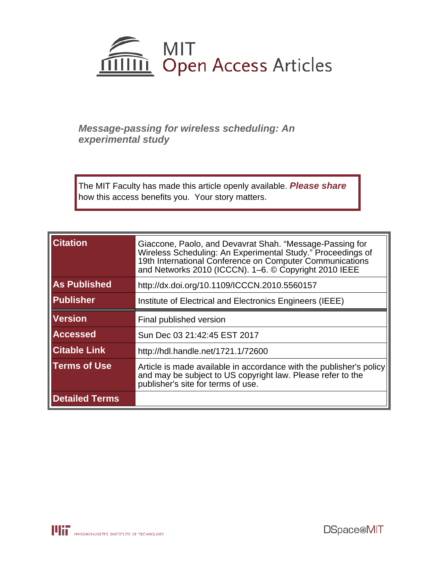

# **Message-passing for wireless scheduling: An experimental study**

The MIT Faculty has made this article openly available. **[Please share](http://libraries.mit.edu/forms/dspace-oa-articles.html)** how this access benefits you. Your story matters.

| <b>Citation</b>       | Giaccone, Paolo, and Devavrat Shah. "Message-Passing for<br>Wireless Scheduling: An Experimental Study." Proceedings of<br>19th International Conference on Computer Communications<br>and Networks 2010 (ICCCN). 1–6. © Copyright 2010 IEEE |
|-----------------------|----------------------------------------------------------------------------------------------------------------------------------------------------------------------------------------------------------------------------------------------|
| <b>As Published</b>   | http://dx.doi.org/10.1109/ICCCN.2010.5560157                                                                                                                                                                                                 |
| Publisher             | Institute of Electrical and Electronics Engineers (IEEE)                                                                                                                                                                                     |
| <b>Version</b>        | Final published version                                                                                                                                                                                                                      |
| <b>Accessed</b>       | Sun Dec 03 21:42:45 EST 2017                                                                                                                                                                                                                 |
| <b>Citable Link</b>   | http://hdl.handle.net/1721.1/72600                                                                                                                                                                                                           |
| <b>Terms of Use</b>   | Article is made available in accordance with the publisher's policy<br>and may be subject to US copyright law. Please refer to the<br>publisher's site for terms of use.                                                                     |
| <b>Detailed Terms</b> |                                                                                                                                                                                                                                              |

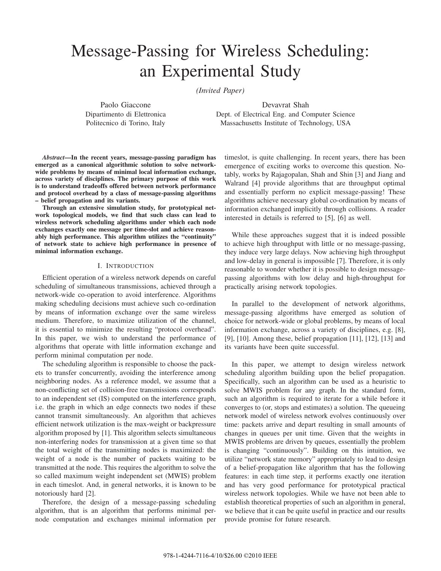# Message-Passing for Wireless Scheduling: an Experimental Study

*(Invited Paper)*

Paolo Giaccone Dipartimento di Elettronica Politecnico di Torino, Italy

Devavrat Shah Dept. of Electrical Eng. and Computer Science Massachusetts Institute of Technology, USA

*Abstract***—In the recent years, message-passing paradigm has emerged as a canonical algorithmic solution to solve networkwide problems by means of minimal local information exchange, across variety of disciplines. The primary purpose of this work is to understand tradeoffs offered between network performance and protocol overhead by a class of message-passing algorithms – belief propagation and its variants.**

**Through an extensive simulation study, for prototypical network topological models, we find that such class can lead to wireless network scheduling algorithms under which each node exchanges exactly one message per time-slot and achieve reasonably high performance. This algorithm utilizes the "continuity" of network state to achieve high performance in presence of minimal information exchange.**

#### I. INTRODUCTION

Efficient operation of a wireless network depends on careful scheduling of simultaneous transmissions, achieved through a network-wide co-operation to avoid interference. Algorithms making scheduling decisions must achieve such co-ordination by means of information exchange over the same wireless medium. Therefore, to maximize utilization of the channel, it is essential to minimize the resulting "protocol overhead". In this paper, we wish to understand the performance of algorithms that operate with little information exchange and perform minimal computation per node.

The scheduling algorithm is responsible to choose the packets to transfer concurrently, avoiding the interference among neighboring nodes. As a reference model, we assume that a non-conflicting set of collision-free transmissions corresponds to an independent set (IS) computed on the interference graph, i.e. the graph in which an edge connects two nodes if these cannot transmit simultaneously. An algorithm that achieves efficient network utilization is the max-weight or backpressure algorithm proposed by [1]. This algorithm selects simultaneous non-interfering nodes for transmission at a given time so that the total weight of the transmitting nodes is maximized: the weight of a node is the number of packets waiting to be transmitted at the node. This requires the algorithm to solve the so called maximum weight independent set (MWIS) problem in each timeslot. And, in general networks, it is known to be notoriously hard [2].

Therefore, the design of a message-passing scheduling algorithm, that is an algorithm that performs minimal pernode computation and exchanges minimal information per timeslot, is quite challenging. In recent years, there has been emergence of exciting works to overcome this question. Notably, works by Rajagopalan, Shah and Shin [3] and Jiang and Walrand [4] provide algorithms that are throughput optimal and essentially perform no explicit message-passing! These algorithms achieve necessary global co-ordination by means of information exchanged implicitly through collisions. A reader interested in details is referred to [5], [6] as well.

While these approaches suggest that it is indeed possible to achieve high throughput with little or no message-passing, they induce very large delays. Now achieving high throughput and low-delay in general is impossible [7]. Therefore, it is only reasonable to wonder whether it is possible to design messagepassing algorithms with low delay and high-throughput for practically arising network topologies.

In parallel to the development of network algorithms, message-passing algorithms have emerged as solution of choice for network-wide or global problems, by means of local information exchange, across a variety of disciplines, e.g. [8], [9], [10]. Among these, belief propagation [11], [12], [13] and its variants have been quite successful.

In this paper, we attempt to design wireless network scheduling algorithm building upon the belief propagation. Specifically, such an algorithm can be used as a heuristic to solve MWIS problem for any graph. In the standard form, such an algorithm is required to iterate for a while before it converges to (or, stops and estimates) a solution. The queueing network model of wireless network evolves continuously over time: packets arrive and depart resulting in small amounts of changes in queues per unit time. Given that the weights in MWIS problems are driven by queues, essentially the problem is changing "continuously". Building on this intuition, we utilize "network state memory" appropriately to lead to design of a belief-propagation like algorithm that has the following features: in each time step, it performs exactly one iteration and has very good performance for prototypical practical wireless network topologies. While we have not been able to establish theoretical properties of such an algorithm in general, we believe that it can be quite useful in practice and our results provide promise for future research.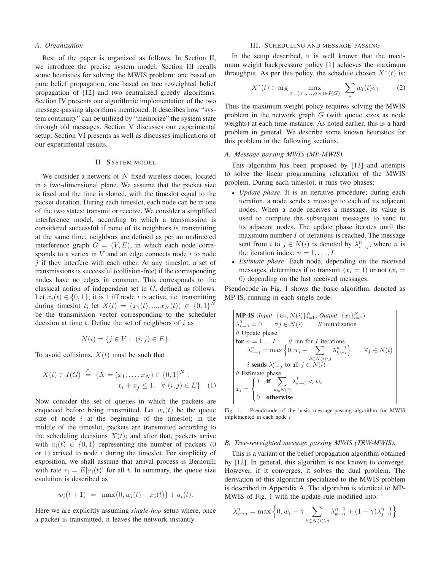#### *A. Organization*

Rest of the paper is organized as follows. In Section II, we introduce the precise system model. Section III recalls some heuristics for solving the MWIS problem: one based on pure belief propagation, one based on tree reweighted belief propagation of [12] and two centralized greedy algorithms. Section IV presents our algorithmic implementation of the two message-passing algorithms mentioned. It describes how "system continuity" can be utilized by "memorize" the system state through old messages. Section V discusses our experimental setup. Section VI presents as well as discusses implications of our experimental results.

# II. SYSTEM MODEL

We consider a network of  $N$  fixed wireless nodes, located in a two-dimensional plane. We assume that the packet size is fixed and the time is slotted, with the timeslot equal to the packet duration. During each timeslot, each node can be in one of the two states: transmit or receive. We consider a simplified interference model, according to which a transmission is considered successful if none of its neighbors is transmitting at the same time: neighbors are defined as per an undirected interference graph  $G = (V, E)$ , in which each node corresponds to a vertex in  $V$  and an edge connects node  $i$  to node  $j$  if they interfere with each other. At any timeslot, a set of transmissions is successful (collision-free) if the corresponding nodes have no edges in common. This corresponds to the classical notion of independent set in G, defined as follows. Let  $x_i(t) \in \{0, 1\}$ ; it is 1 iff node i is active, i.e. transmitting during timeslot t; let  $X(t)=(x_1(t), ..., x_N(t)) \in \{0,1\}^N$ be the transmission vector corresponding to the scheduler decision at time  $t$ . Define the set of neighbors of  $i$  as

$$
N(i) = \{ j \in V : (i, j) \in E \}.
$$

To avoid collisions,  $X(t)$  must be such that

$$
X(t) \in I(G) \stackrel{\triangle}{=} \{X = (x_1, \dots, x_N) \in \{0, 1\}^N : x_i + x_j \le 1, \quad \forall (i, j) \in E\}
$$
 (1)

Now consider the set of queues in which the packets are enqueued before being transmitted. Let  $w_i(t)$  be the queue size of node  $i$  at the beginning of the timeslot; in the middle of the timeslot, packets are transmitted according to the scheduling decisions  $X(t)$ ; and after that, packets arrive with  $a_i(t) \in \{0,1\}$  representing the number of packets (0 or 1) arrived to node  $i$  during the timeslot. For simplicity of exposition, we shall assume that arrival process is Bernoulli with rate  $r_i = E[a_i(t)]$  for all t. In summary, the queue size evolution is described as

$$
w_i(t+1) = \max\{0, w_i(t) - x_i(t)\} + a_i(t).
$$

Here we are explicitly assuming *single-hop* setup where, once a packet is transmitted, it leaves the network instantly.

#### III. SCHEDULING AND MESSAGE-PASSING

In the setup described, it is well known that the maximum weight backpressure policy [1] achieves the maximum throughput. As per this policy, the schedule chosen  $X^*(t)$  is:

$$
X^*(t) \in \arg\max_{\sigma = (\sigma_1, ..., \sigma_N) \in I(G)} \sum_i w_i(t)\sigma_i \tag{2}
$$

Thus the maximum weight policy requires solving the MWIS problem in the network graph  $G$  (with queue sizes as node weights) at each time instance. As noted earlier, this is a hard problem in general. We describe some known heuristics for this problem in the following sections.

#### *A. Message passing MWIS (MP-MWIS).*

This algorithm has been proposed by [13] and attempts to solve the linear programming relaxation of the MWIS problem. During each timeslot, it runs two phases:

- *Update phase*. It is an iterative procedure; during each iteration, a node sends a message to each of its adjacent nodes. When a node receives a message, its value is used to compute the subsequent messages to send to its adjacent nodes. The update phase iterates until the maximum number I of iterations is reached. The message sent from *i* to  $j \in N(i)$  is denoted by  $\lambda_{i \to j}^n$ , where *n* is the iteration index:  $n-1$ the iteration index:  $n = 1, \ldots, I$ .
- *Estimate phase*. Each node, depending on the received messages, determines if to transmit  $(x<sub>i</sub> = 1)$  or not  $(x<sub>i</sub> = 1)$ 0) depending on the last received messages.

Pseudocode in Fig. 1 shows the basic algorithm, denoted as MP-IS, running in each single node.

$$
\begin{array}{ll} \mbox{MP-IS (Input: } \{w_i,N(i)\}_{i=1}^N; \; Output: \;\{x_i\}_{i=1}^N) \\ \lambda_{i\to j}^0=0 \quad \forall j\in N(i) \quad \text{ // initialization} \\ \text{ // Update phase} \\ \mbox{ for } n=1 \dots I \quad \text{ // run for } I \;\text{ iterations} \\ \lambda_{i\to j}^n=\max \left\{0,w_i-\sum_{k\in N(i)\backslash j} \lambda_{k\to i}^{n-1}\right\} \quad \forall j\in N(i) \\ i \;\text{ sends } \lambda_{i\to j}^n \;\text{ to all } j\in N(i) \\ \text{ // Estimate phase} \\ x_i=\left\{\begin{matrix} 1 & \text{ if } \sum_{k\in N(i)} \lambda_{k\to i}^I < w_i \\ 0 & \text{ otherwise} \end{matrix}\right. \end{array}
$$

Fig. 1. Pseudocode of the basic message-passing algorithm for MWIS implemented in each node i

#### *B. Tree-reweighted message passing MWIS (TRW-MWIS).*

This is a variant of the belief propagation algorithm obtained by [12]. In general, this algorithm is not known to converge. However, if it converges, it solves the dual problem. The derivation of this algorithm specialized to the MWIS problem is described in Appendix A. The algorithm is identical to MP-MWIS of Fig. 1 with the update rule modified into:

$$
\lambda_{i \to j}^n = \max \left\{ 0, w_i - \gamma \sum_{k \in N(i) \setminus j} \lambda_{k \to i}^{n-1} + (1 - \gamma) \lambda_{j \to i}^{n-1} \right\}
$$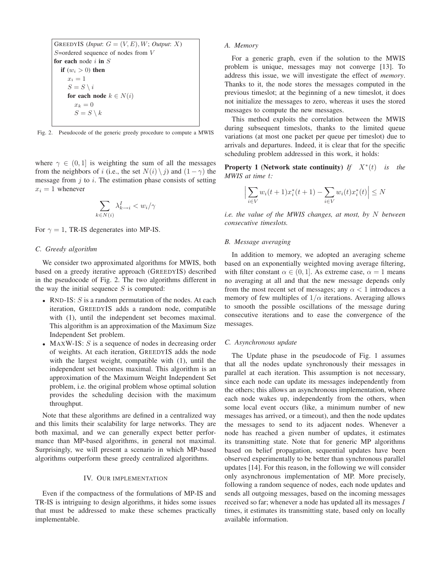GREEDYIS (*Input*:  $G = (V, E), W$ ; *Output*: *X*)  $S$ =ordered sequence of nodes from  $V$ **for each** node i **in** S **if**  $(w_i > 0)$  **then**  $x_i = 1$  $S = S \setminus i$ **for each node**  $k \in N(i)$  $x_k = 0$  $S = S \setminus k$ 

Fig. 2. Pseudocode of the generic greedy procedure to compute a MWIS

where  $\gamma \in (0, 1]$  is weighting the sum of all the messages from the neighbors of i (i.e., the set  $N(i) \setminus j$ ) and  $(1 - \gamma)$  the message from  $j$  to  $i$ . The estimation phase consists of setting  $x_i = 1$  whenever

$$
\sum_{k \in N(i)} \lambda_{k \to i}^I < w_i / \gamma
$$

For  $\gamma = 1$ , TR-IS degenerates into MP-IS.

#### *C. Greedy algorithm*

We consider two approximated algorithms for MWIS, both based on a greedy iterative approach (GREEDYIS) described in the pseudocode of Fig. 2. The two algorithms different in the way the initial sequence  $S$  is computed:

- RND-IS:  $S$  is a random permutation of the nodes. At each iteration, GREEDYIS adds a random node, compatible with (1), until the independent set becomes maximal. This algorithm is an approximation of the Maximum Size Independent Set problem.
- MAXW-IS:  $S$  is a sequence of nodes in decreasing order of weights. At each iteration, GREEDYIS adds the node with the largest weight, compatible with (1), until the independent set becomes maximal. This algorithm is an approximation of the Maximum Weight Independent Set problem, i.e. the original problem whose optimal solution provides the scheduling decision with the maximum throughput.

Note that these algorithms are defined in a centralized way and this limits their scalability for large networks. They are both maximal, and we can generally expect better performance than MP-based algorithms, in general not maximal. Surprisingly, we will present a scenario in which MP-based algorithms outperform these greedy centralized algorithms.

#### IV. OUR IMPLEMENTATION

Even if the compactness of the formulations of MP-IS and TR-IS is intriguing to design algorithms, it hides some issues that must be addressed to make these schemes practically implementable.

#### *A. Memory*

For a generic graph, even if the solution to the MWIS problem is unique, messages may not converge [13]. To address this issue, we will investigate the effect of *memory*. Thanks to it, the node stores the messages computed in the previous timeslot; at the beginning of a new timeslot, it does not initialize the messages to zero, whereas it uses the stored messages to compute the new messages.

This method exploits the correlation between the MWIS during subsequent timeslots, thanks to the limited queue variations (at most one packet per queue per timeslot) due to arrivals and departures. Indeed, it is clear that for the specific scheduling problem addressed in this work, it holds:

**Property 1 (Network state continuity)** *If*  $X^*(t)$  *is the MWIS at time* t*:*

$$
\Big|\sum_{i\in V} w_i(t+1)x_i^*(t+1) - \sum_{i\in V} w_i(t)x_i^*(t)\Big| \le N
$$

*i.e. the value of the MWIS changes, at most, by* N *between consecutive timeslots.*

# *B. Message averaging*

In addition to memory, we adopted an averaging scheme based on an exponentially weighted moving average filtering, with filter constant  $\alpha \in (0, 1]$ . As extreme case,  $\alpha = 1$  means no averaging at all and that the new message depends only from the most recent set of messages; any  $\alpha < 1$  introduces a memory of few multiples of  $1/\alpha$  iterations. Averaging allows to smooth the possible oscillations of the message during consecutive iterations and to ease the convergence of the messages.

#### *C. Asynchronous update*

The Update phase in the pseudocode of Fig. 1 assumes that all the nodes update synchronously their messages in parallel at each iteration. This assumption is not necessary, since each node can update its messages independently from the others; this allows an asynchronous implementation, where each node wakes up, independently from the others, when some local event occurs (like, a minimum number of new messages has arrived, or a timeout), and then the node updates the messages to send to its adjacent nodes. Whenever a node has reached a given number of updates, it estimates its transmitting state. Note that for generic MP algorithms based on belief propagation, sequential updates have been observed experimentally to be better than synchronous parallel updates [14]. For this reason, in the following we will consider only asynchronous implementation of MP. More precisely, following a random sequence of nodes, each node updates and sends all outgoing messages, based on the incoming messages received so far; whenever a node has updated all its messages I times, it estimates its transmitting state, based only on locally available information.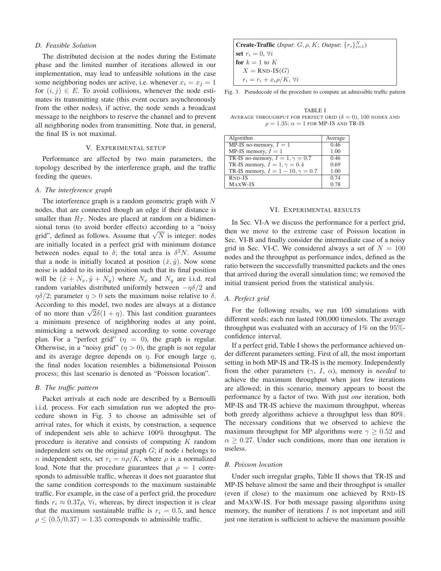#### *D. Feasible Solution*

The distributed decision at the nodes during the Estimate phase and the limited number of iterations allowed in our implementation, may lead to unfeasible solutions in the case some neighboring nodes are active, i.e. whenever  $x_i = x_j = 1$ for  $(i, j) \in E$ . To avoid collisions, whenever the node estimates its transmitting state (this event occurs asynchronously from the other nodes), if active, the node sends a broadcast message to the neighbors to reserve the channel and to prevent all neighboring nodes from transmitting. Note that, in general, the final IS is not maximal.

#### V. EXPERIMENTAL SETUP

Performance are affected by two main parameters, the topology described by the interference graph, and the traffic feeding the queues.

# *A. The interference graph*

The interference graph is a random geometric graph with  $N$ nodes, that are connected though an edge if their distance is smaller than  $R_T$ . Nodes are placed at random on a bidimensional torus (to avoid border effects) according to a "noisy sional torus (to avoid border effects) according to a holds<br>grid", defined as follows. Assume that  $\sqrt{N}$  is integer: nodes are initially located in a perfect grid with minimum distance between nodes equal to  $\delta$ ; the total area is  $\delta^2 N$ . Assume that a node is initially located at position  $(\hat{x}, \hat{y})$ . Now some noise is added to its initial position such that its final position will be  $(\hat{x} + N_x, \hat{y} + N_y)$  where  $N_x$  and  $N_y$  are i.i.d. real random variables distributed uniformly between  $-\eta \delta/2$  and  $\eta \delta/2$ ; parameter  $\eta > 0$  sets the maximum noise relative to  $\delta$ . According to this model, two nodes are always at a distance of no more than  $\sqrt{2}\delta(1+\eta)$ . This last condition guarantees a minimum presence of neighboring nodes at any point, mimicking a network designed according to some coverage plan. For a "perfect grid" ( $\eta = 0$ ), the graph is regular. Otherwise, in a "noisy grid" ( $\eta > 0$ ), the graph is not regular and its average degree depends on  $\eta$ . For enough large  $\eta$ , the final nodes location resembles a bidimensional Poisson process; this last scenario is denoted as "Poisson location".

# *B. The traffic pattern*

Packet arrivals at each node are described by a Bernoulli i.i.d. process. For each simulation run we adopted the procedure shown in Fig. 3 to choose an admissible set of arrival rates, for which it exists, by construction, a sequence of independent sets able to achieve 100% throughput. The procedure is iterative and consists of computing  $K$  random independent sets on the original graph  $G$ ; if node i belongs to *n* independent sets, set  $r_i = n\rho/K$ , where  $\rho$  is a normalized load. Note that the procedure guarantees that  $\rho = 1$  corresponds to admissible traffic, whereas it does not guarantee that the same condition corresponds to the maximum sustainable traffic. For example, in the case of a perfect grid, the procedure finds  $r_i \approx 0.37\rho$ ,  $\forall i$ , whereas, by direct inspection it is clear that the maximum sustainable traffic is  $r_i = 0.5$ , and hence  $\rho \le (0.5/0.37) = 1.35$  corresponds to admissible traffic.

**Create-Traffic** (*Input*:  $G, \rho, K$ ; *Output*:  $\{r_i\}_{i=1}^N$ ) set  $r_i = 0, \forall i$ **for**  $k = 1$  to  $K$  $X = RND-IS(G)$  $r_i = r_i + x_i \rho/K$ ,  $\forall i$ 

Fig. 3. Pseudocode of the procedure to compute an admissible traffic pattern

TABLE I AVERAGE THROUGHPUT FOR PERFECT GRID  $(\delta = 0)$ , 100 NODES AND  $\rho = 1.35$ ;  $\alpha = 1$  for MP-IS and TR-IS

| Algorithm                                   | Average |
|---------------------------------------------|---------|
| MP-IS no-memory, $I = 1$                    | 0.46    |
| MP-IS memory, $I = 1$                       | 1.00    |
| TR-IS no-memory, $I = 1, \gamma = 0.7$      | 0.46    |
| TR-IS memory, $I = 1, \gamma = 0.4$         | 0.69    |
| TR-IS memory, $I = 1 - 10$ , $\gamma = 0.7$ | 1.00    |
| $RND-IS$                                    | 0.74    |
| MAXW-IS                                     | 0.78    |

# VI. EXPERIMENTAL RESULTS

In Sec. VI-A we discuss the performance for a perfect grid, then we move to the extreme case of Poisson location in Sec. VI-B and finally consider the intermediate case of a noisy grid in Sec. VI-C. We considered always a set of  $N = 100$ nodes and the throughput as performance index, defined as the ratio between the successfully transmitted packets and the ones that arrived during the overall simulation time; we removed the initial transient period from the statistical analysis.

#### *A. Perfect grid*

For the following results, we run 100 simulations with different seeds; each run lasted 100,000 timeslots. The average throughput was evaluated with an accuracy of  $1\%$  on the  $95\%$ confidence interval.

If a perfect grid, Table I shows the performance achieved under different parameters setting. First of all, the most important setting in both MP-IS and TR-IS is the memory. Independently from the other parameters  $(\gamma, I, \alpha)$ , memory is *needed* to achieve the maximum throughput when just few iterations are allowed; in this scenario, memory appears to boost the performance by a factor of two. With just *one* iteration, both MP-IS and TR-IS achieve the maximum throughput, whereas both greedy algorithms achieve a throughput less than 80%. The necessary conditions that we observed to achieve the maximum throughput for MP algorithms were  $\gamma \geq 0.52$  and  $\alpha \geq 0.27$ . Under such conditions, more than one iteration is useless.

#### *B. Poisson location*

Under such irregular graphs, Table II shows that TR-IS and MP-IS behave almost the same and their throughput is smaller (even if close) to the maximum one achieved by RND-IS and MAXW-IS. For both message passing algorithms using memory, the number of iterations  $I$  is not important and still just one iteration is sufficient to achieve the maximum possible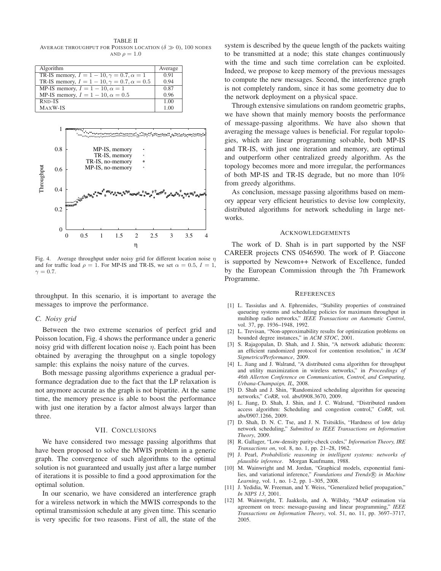TABLE II AVERAGE THROUGHPUT FOR POISSON LOCATION  $(\delta \gg 0)$ , 100 nodes AND  $\rho = 1.0$ 

| Algorithm                                                    | Average |
|--------------------------------------------------------------|---------|
| TR-IS memory, $I = 1 - 10$ , $\gamma = 0.7$ , $\alpha = 1$   | 0.91    |
| TR-IS memory, $I = 1 - 10$ , $\gamma = 0.7$ , $\alpha = 0.5$ | 0.94    |
| MP-IS memory, $I = 1 - 10$ , $\alpha = 1$                    | 0.87    |
| MP-IS memory, $I = 1 - 10$ , $\alpha = 0.5$                  | 0.96    |
| $RND-IS$                                                     | 1.00    |
| MAXW-IS                                                      | 1.00    |



Fig. 4. Average throughput under noisy grid for different location noise  $\eta$ and for traffic load  $\rho = 1$ . For MP-IS and TR-IS, we set  $\alpha = 0.5$ ,  $I = 1$ ,  $\gamma = 0.7$ .

throughput. In this scenario, it is important to average the messages to improve the performance.

#### *C. Noisy grid*

Between the two extreme scenarios of perfect grid and Poisson location, Fig. 4 shows the performance under a generic noisy grid with different location noise  $\eta$ . Each point has been obtained by averaging the throughput on a single topology sample: this explains the noisy nature of the curves.

Both message passing algorithms experience a gradual performance degradation due to the fact that the LP relaxation is not anymore accurate as the graph is not bipartite. At the same time, the memory presence is able to boost the performance with just one iteration by a factor almost always larger than three.

#### VII. CONCLUSIONS

We have considered two message passing algorithms that have been proposed to solve the MWIS problem in a generic graph. The convergence of such algorithms to the optimal solution is not guaranteed and usually just after a large number of iterations it is possible to find a good approximation for the optimal solution.

In our scenario, we have considered an interference graph for a wireless network in which the MWIS corresponds to the optimal transmission schedule at any given time. This scenario is very specific for two reasons. First of all, the state of the

system is described by the queue length of the packets waiting to be transmitted at a node; this state changes continuously with the time and such time correlation can be exploited. Indeed, we propose to keep memory of the previous messages to compute the new messages. Second, the interference graph is not completely random, since it has some geometry due to the network deployment on a physical space.

Through extensive simulations on random geometric graphs, we have shown that mainly memory boosts the performance of message-passing algorithms. We have also shown that averaging the message values is beneficial. For regular topologies, which are linear programming solvable, both MP-IS and TR-IS, with just one iteration and memory, are optimal and outperform other centralized greedy algorithm. As the topology becomes more and more irregular, the performances of both MP-IS and TR-IS degrade, but no more than 10% from greedy algorithms.

As conclusion, message passing algorithms based on memory appear very efficient heuristics to devise low complexity, distributed algorithms for network scheduling in large networks.

#### ACKNOWLEDGEMENTS

The work of D. Shah is in part supported by the NSF CAREER projects CNS 0546590. The work of P. Giaccone is supported by Newcom++ Network of Excellence, funded by the European Commission through the 7th Framework Programme.

#### **REFERENCES**

- [1] L. Tassiulas and A. Ephremides, "Stability properties of constrained queueing systems and scheduling policies for maximum throughput in multihop radio networks," *IEEE Transactions on Automatic Control*, vol. 37, pp. 1936–1948, 1992.
- [2] L. Trevisan, "Non-approximability results for optimization problems on bounded degree instances," in *ACM STOC*, 2001.
- [3] S. Rajagopalan, D. Shah, and J. Shin, "A network adiabatic theorem: an efficient randomized protocol for contention resolution," in *ACM Sigmetrics/Performance*, 2009.
- [4] L. Jiang and J. Walrand, "A distributed csma algorithm for throughput and utility maximization in wireless networks," in *Proceedings of 46th Allerton Conference on Communication, Control, and Computing, Urbana-Champaign, IL*, 2008.
- [5] D. Shah and J. Shin, "Randomized scheduling algorithm for queueing networks," *CoRR*, vol. abs/0908.3670, 2009.
- [6] L. Jiang, D. Shah, J. Shin, and J. C. Walrand, "Distributed random access algorithm: Scheduling and congestion control," *CoRR*, vol. abs/0907.1266, 2009.
- [7] D. Shah, D. N. C. Tse, and J. N. Tsitsiklis, "Hardness of low delay network scheduling," *Submitted to IEEE Transactions on Information Theory*, 2009.
- [8] R. Gallager, "Low-density parity-check codes," *Information Theory, IRE Transactions on*, vol. 8, no. 1, pp. 21–28, 1962.
- [9] J. Pearl, *Probabilistic reasoning in intelligent systems: networks of plausible inference*. Morgan Kaufmann, 1988.
- [10] M. Wainwright and M. Jordan, "Graphical models, exponential families, and variational inference," *Foundations and Trends*<sup>®</sup> *in Machine Learning*, vol. 1, no. 1-2, pp. 1–305, 2008.
- [11] J. Yedidia, W. Freeman, and Y. Weiss, "Generalized belief propagation," *In NIPS 13*, 2001.
- [12] M. Wainwright, T. Jaakkola, and A. Willsky, "MAP estimation via agreement on trees: message-passing and linear programming," *IEEE Transactions on Information Theory*, vol. 51, no. 11, pp. 3697–3717, 2005.